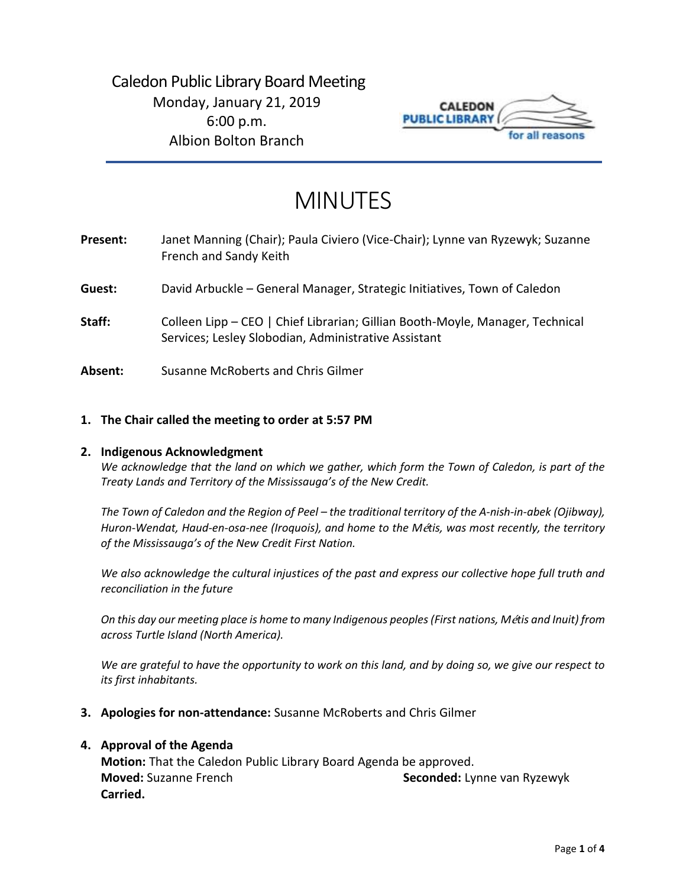## Caledon Public Library Board Meeting Monday, January 21, 2019 6:00 p.m. Albion Bolton Branch



# MINUTES

| Present: | Janet Manning (Chair); Paula Civiero (Vice-Chair); Lynne van Ryzewyk; Suzanne<br>French and Sandy Keith                               |
|----------|---------------------------------------------------------------------------------------------------------------------------------------|
| Guest:   | David Arbuckle – General Manager, Strategic Initiatives, Town of Caledon                                                              |
| Staff:   | Colleen Lipp - CEO   Chief Librarian; Gillian Booth-Moyle, Manager, Technical<br>Services; Lesley Slobodian, Administrative Assistant |
| Absent:  | Susanne McRoberts and Chris Gilmer                                                                                                    |

## **1. The Chair called the meeting to order at 5:57 PM**

### **2. Indigenous Acknowledgment**

*We acknowledge that the land on which we gather, which form the Town of Caledon, is part of the Treaty Lands and Territory of the Mississauga's of the New Credit.* 

*The Town of Caledon and the Region of Peel – the traditional territory of the A-nish-in-abek (Ojibway), Huron-Wendat, Haud-en-osa-nee (Iroquois), and home to the M*é*tis, was most recently, the territory of the Mississauga's of the New Credit First Nation.* 

*We also acknowledge the cultural injustices of the past and express our collective hope full truth and reconciliation in the future*

*On this day our meeting place is home to many Indigenous peoples (First nations, M*é*tis and Inuit) from across Turtle Island (North America).* 

*We are grateful to have the opportunity to work on this land, and by doing so, we give our respect to its first inhabitants.* 

**3. Apologies for non-attendance:** Susanne McRoberts and Chris Gilmer

### **4. Approval of the Agenda**

**Motion:** That the Caledon Public Library Board Agenda be approved. **Moved:** Suzanne French **Seconded:** Lynne van Ryzewyk **Carried.**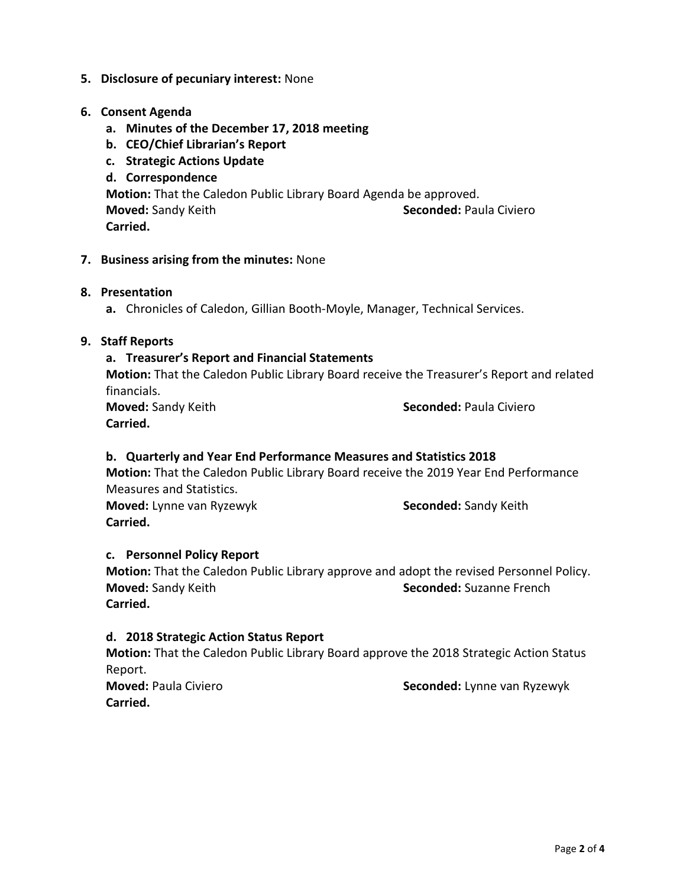## **5. Disclosure of pecuniary interest:** None

## **6. Consent Agenda**

- **a. Minutes of the December 17, 2018 meeting**
- **b. CEO/Chief Librarian's Report**
- **c. Strategic Actions Update**
- **d. Correspondence Motion:** That the Caledon Public Library Board Agenda be approved. **Moved:** Sandy Keith **Seconded:** Paula Civiero **Carried.**

## **7. Business arising from the minutes:** None

## **8. Presentation**

**a.** Chronicles of Caledon, Gillian Booth-Moyle, Manager, Technical Services.

## **9. Staff Reports**

## **a. Treasurer's Report and Financial Statements**

**Motion:** That the Caledon Public Library Board receive the Treasurer's Report and related financials.

**Carried.**

**Moved:** Sandy Keith **Seconded:** Paula Civiero

## **b. Quarterly and Year End Performance Measures and Statistics 2018**

**Motion:** That the Caledon Public Library Board receive the 2019 Year End Performance Measures and Statistics.

**Moved:** Lynne van Ryzewyk **Seconded:** Sandy Keith **Carried.** 

### **c. Personnel Policy Report**

**Motion:** That the Caledon Public Library approve and adopt the revised Personnel Policy. **Moved:** Sandy Keith **Seconded:** Suzanne French **Carried.** 

### **d. 2018 Strategic Action Status Report**

**Motion:** That the Caledon Public Library Board approve the 2018 Strategic Action Status Report.

**Carried.**

**Moved:** Paula Civiero **Seconded:** Lynne van Ryzewyk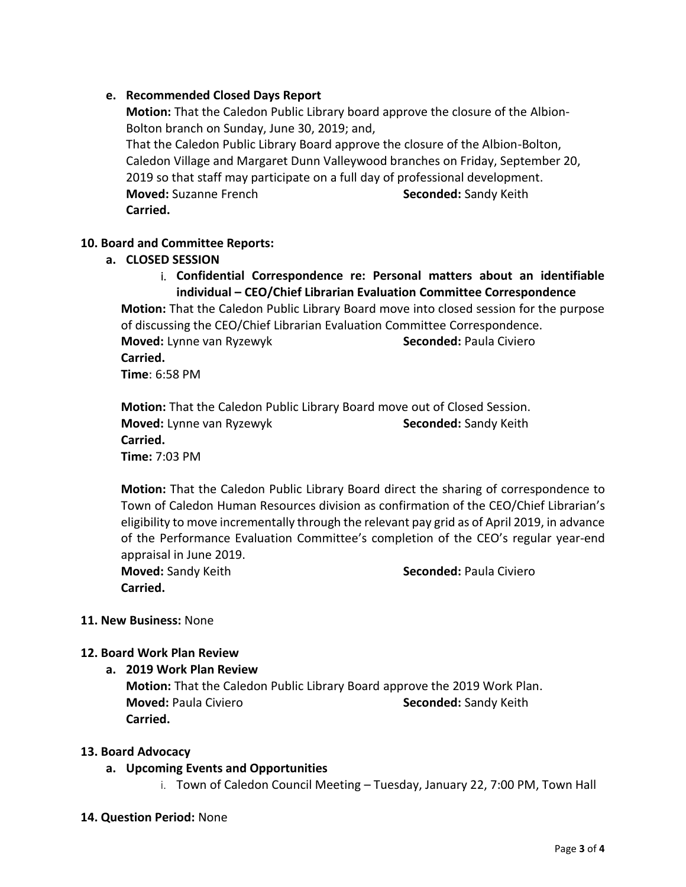## **e. Recommended Closed Days Report**

**Motion:** That the Caledon Public Library board approve the closure of the Albion-Bolton branch on Sunday, June 30, 2019; and, That the Caledon Public Library Board approve the closure of the Albion-Bolton, Caledon Village and Margaret Dunn Valleywood branches on Friday, September 20, 2019 so that staff may participate on a full day of professional development. **Moved:** Suzanne French **Seconded:** Sandy Keith **Carried.** 

## **10. Board and Committee Reports:**

## **a. CLOSED SESSION**

i. **Confidential Correspondence re: Personal matters about an identifiable individual – CEO/Chief Librarian Evaluation Committee Correspondence**

**Motion:** That the Caledon Public Library Board move into closed session for the purpose of discussing the CEO/Chief Librarian Evaluation Committee Correspondence. **Moved:** Lynne van Ryzewyk **Seconded:** Paula Civiero **Carried. Time**: 6:58 PM

**Motion:** That the Caledon Public Library Board move out of Closed Session. **Moved:** Lynne van Ryzewyk **Seconded:** Sandy Keith **Carried. Time:** 7:03 PM

**Motion:** That the Caledon Public Library Board direct the sharing of correspondence to Town of Caledon Human Resources division as confirmation of the CEO/Chief Librarian's eligibility to move incrementally through the relevant pay grid as of April 2019, in advance of the Performance Evaluation Committee's completion of the CEO's regular year-end appraisal in June 2019.

**Carried.** 

**Moved:** Sandy Keith **Seconded: Paula Civiero Seconded: Paula Civiero** 

### **11. New Business:** None

### **12. Board Work Plan Review**

**a. 2019 Work Plan Review**

**Motion:** That the Caledon Public Library Board approve the 2019 Work Plan. **Moved: Paula Civiero <b>Seconded:** Sandy Keith **Carried.** 

### **13. Board Advocacy**

**a. Upcoming Events and Opportunities**

i. Town of Caledon Council Meeting – Tuesday, January 22, 7:00 PM, Town Hall

### **14. Question Period:** None